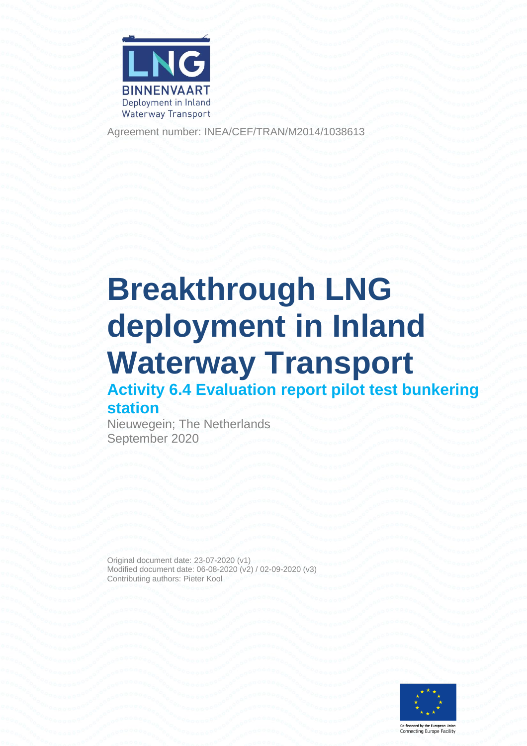

Agreement number: INEA/CEF/TRAN/M2014/1038613

# **Breakthrough LNG deployment in Inland Waterway Transport Activity 6.4 Evaluation report pilot test bunkering**

### **station**

Nieuwegein; The Netherlands September 2020

Original document date: 23-07-2020 (v1) Modified document date: 06-08-2020 (v2) / 02-09-2020 (v3) Contributing authors: Pieter Kool

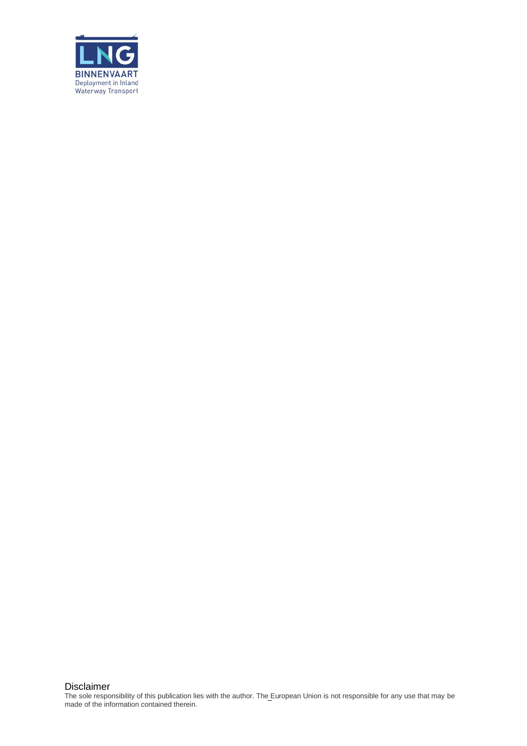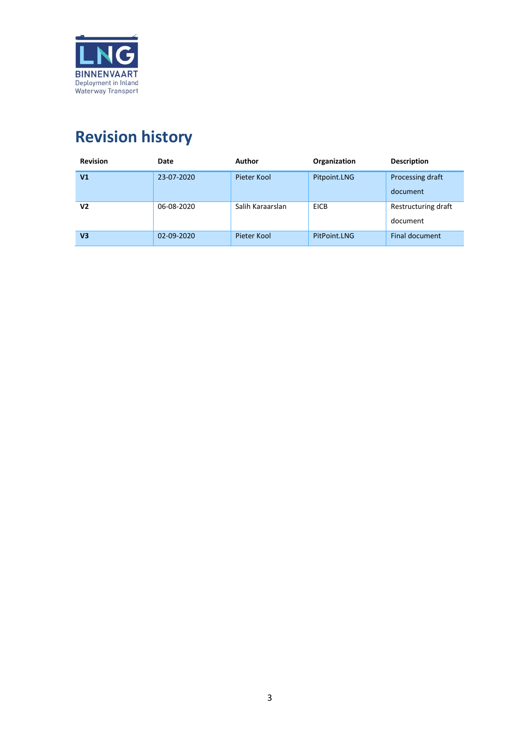

## <span id="page-2-0"></span>**Revision history**

| <b>Revision</b> | Date       | Author           | Organization | <b>Description</b>              |
|-----------------|------------|------------------|--------------|---------------------------------|
| V <sub>1</sub>  | 23-07-2020 | Pieter Kool      | Pitpoint.LNG | Processing draft<br>document    |
| V2              | 06-08-2020 | Salih Karaarslan | <b>EICB</b>  | Restructuring draft<br>document |
| V <sub>3</sub>  | 02-09-2020 | Pieter Kool      | PitPoint.LNG | Final document                  |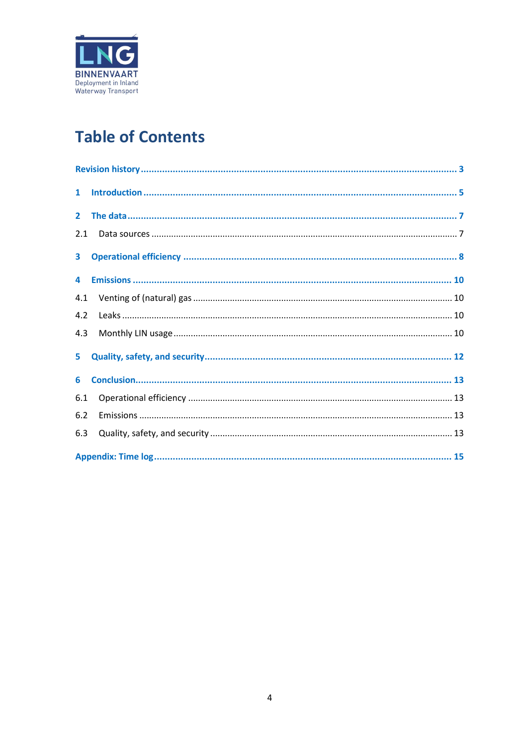

## **Table of Contents**

| 2.1            |  |
|----------------|--|
| 3 <sup>1</sup> |  |
|                |  |
| 4.1            |  |
| 4.2            |  |
| 4.3            |  |
|                |  |
| 6              |  |
| 6.1            |  |
| 6.2            |  |
| 6.3            |  |
|                |  |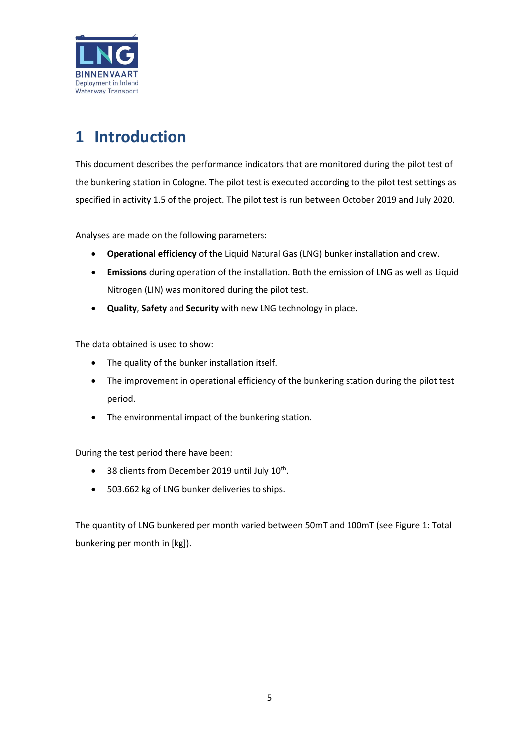

### <span id="page-4-0"></span>**1 Introduction**

This document describes the performance indicators that are monitored during the pilot test of the bunkering station in Cologne. The pilot test is executed according to the pilot test settings as specified in activity 1.5 of the project. The pilot test is run between October 2019 and July 2020.

Analyses are made on the following parameters:

- **Operational efficiency** of the Liquid Natural Gas (LNG) bunker installation and crew.
- **Emissions** during operation of the installation. Both the emission of LNG as well as Liquid Nitrogen (LIN) was monitored during the pilot test.
- **Quality**, **Safety** and **Security** with new LNG technology in place.

The data obtained is used to show:

- The quality of the bunker installation itself.
- The improvement in operational efficiency of the bunkering station during the pilot test period.
- The environmental impact of the bunkering station.

During the test period there have been:

- 38 clients from December 2019 until July 10<sup>th</sup>.
- 503.662 kg of LNG bunker deliveries to ships.

The quantity of LNG bunkered per month varied between 50mT and 100mT (see [Figure 1: Total](#page-5-0)  [bunkering per month in \[kg\]\)](#page-5-0).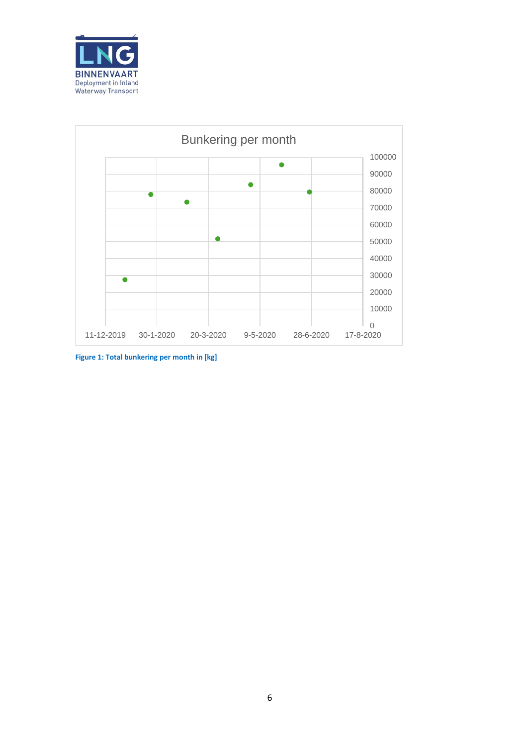



<span id="page-5-0"></span>**Figure 1: Total bunkering per month in [kg]**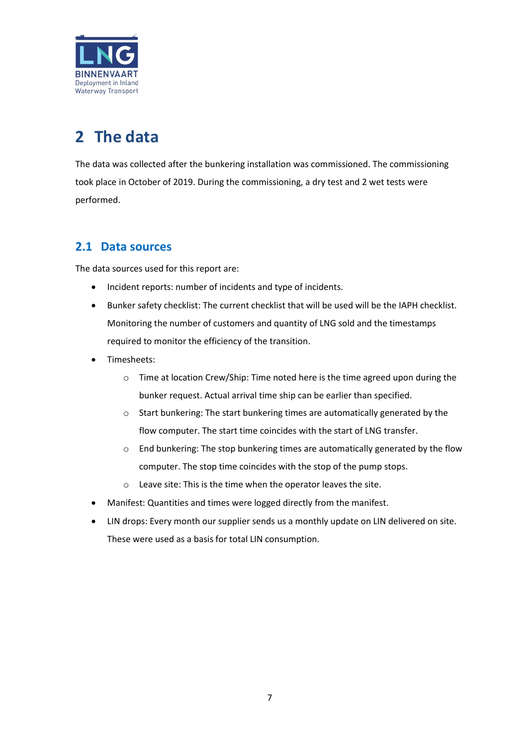

## <span id="page-6-0"></span>**2 The data**

The data was collected after the bunkering installation was commissioned. The commissioning took place in October of 2019. During the commissioning, a dry test and 2 wet tests were performed.

#### <span id="page-6-1"></span>**2.1 Data sources**

The data sources used for this report are:

- Incident reports: number of incidents and type of incidents.
- Bunker safety checklist: The current checklist that will be used will be the IAPH checklist. Monitoring the number of customers and quantity of LNG sold and the timestamps required to monitor the efficiency of the transition.
- Timesheets:
	- o Time at location Crew/Ship: Time noted here is the time agreed upon during the bunker request. Actual arrival time ship can be earlier than specified.
	- o Start bunkering: The start bunkering times are automatically generated by the flow computer. The start time coincides with the start of LNG transfer.
	- o End bunkering: The stop bunkering times are automatically generated by the flow computer. The stop time coincides with the stop of the pump stops.
	- o Leave site: This is the time when the operator leaves the site.
- Manifest: Quantities and times were logged directly from the manifest.
- LIN drops: Every month our supplier sends us a monthly update on LIN delivered on site. These were used as a basis for total LIN consumption.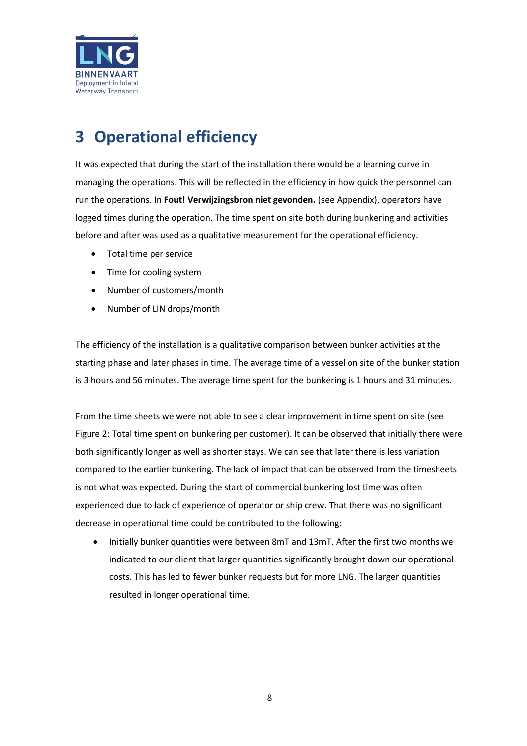

### <span id="page-7-0"></span>**3 Operational efficiency**

It was expected that during the start of the installation there would be a learning curve in managing the operations. This will be reflected in the efficiency in how quick the personnel can run the operations. In **Fout! Verwijzingsbron niet gevonden.** (see Appendix), operators have logged times during the operation. The time spent on site both during bunkering and activities before and after was used as a qualitative measurement for the operational efficiency.

- Total time per service
- Time for cooling system
- Number of customers/month
- Number of LIN drops/month

The efficiency of the installation is a qualitative comparison between bunker activities at the starting phase and later phases in time. The average time of a vessel on site of the bunker station is 3 hours and 56 minutes. The average time spent for the bunkering is 1 hours and 31 minutes.

From the time sheets we were not able to see a clear improvement in time spent on site (see Figure 2: Total time spent on bunkering per customer). It can be observed that initially there were both significantly longer as well as shorter stays. We can see that later there is less variation compared to the earlier bunkering. The lack of impact that can be observed from the timesheets is not what was expected. During the start of commercial bunkering lost time was often experienced due to lack of experience of operator or ship crew. That there was no significant decrease in operational time could be contributed to the following:

• Initially bunker quantities were between 8mT and 13mT. After the first two months we indicated to our client that larger quantities significantly brought down our operational costs. This has led to fewer bunker requests but for more LNG. The larger quantities resulted in longer operational time.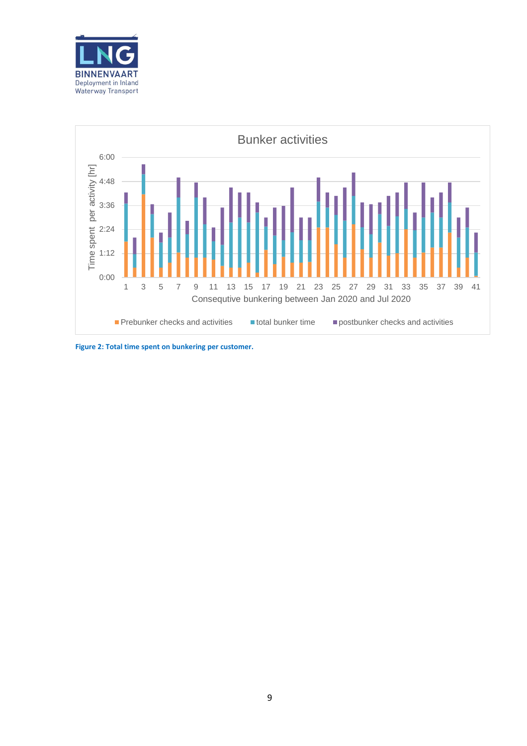



**Figure 2: Total time spent on bunkering per customer.**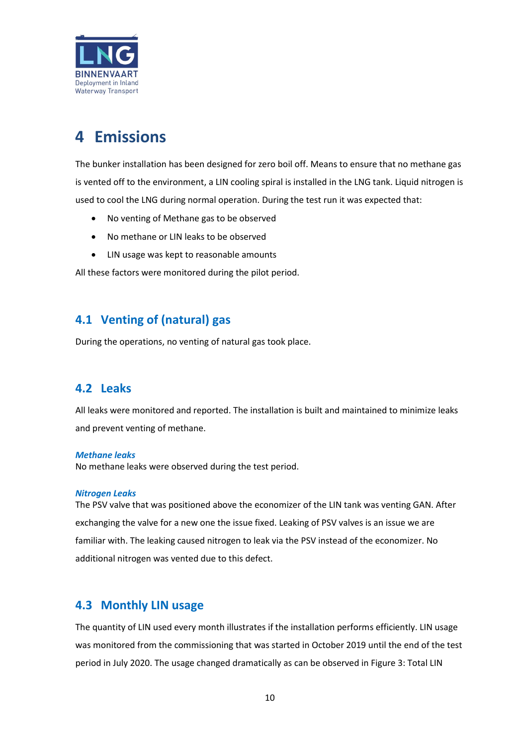

### <span id="page-9-0"></span>**4 Emissions**

The bunker installation has been designed for zero boil off. Means to ensure that no methane gas is vented off to the environment, a LIN cooling spiral is installed in the LNG tank. Liquid nitrogen is used to cool the LNG during normal operation. During the test run it was expected that:

- No venting of Methane gas to be observed
- No methane or LIN leaks to be observed
- LIN usage was kept to reasonable amounts

All these factors were monitored during the pilot period.

#### <span id="page-9-1"></span>**4.1 Venting of (natural) gas**

During the operations, no venting of natural gas took place.

#### <span id="page-9-2"></span>**4.2 Leaks**

All leaks were monitored and reported. The installation is built and maintained to minimize leaks and prevent venting of methane.

#### *Methane leaks*

No methane leaks were observed during the test period.

#### *Nitrogen Leaks*

The PSV valve that was positioned above the economizer of the LIN tank was venting GAN. After exchanging the valve for a new one the issue fixed. Leaking of PSV valves is an issue we are familiar with. The leaking caused nitrogen to leak via the PSV instead of the economizer. No additional nitrogen was vented due to this defect.

#### <span id="page-9-3"></span>**4.3 Monthly LIN usage**

The quantity of LIN used every month illustrates if the installation performs efficiently. LIN usage was monitored from the commissioning that was started in October 2019 until the end of the test period in July 2020. The usage changed dramatically as can be observed i[n Figure 3: Total LIN](#page-10-0)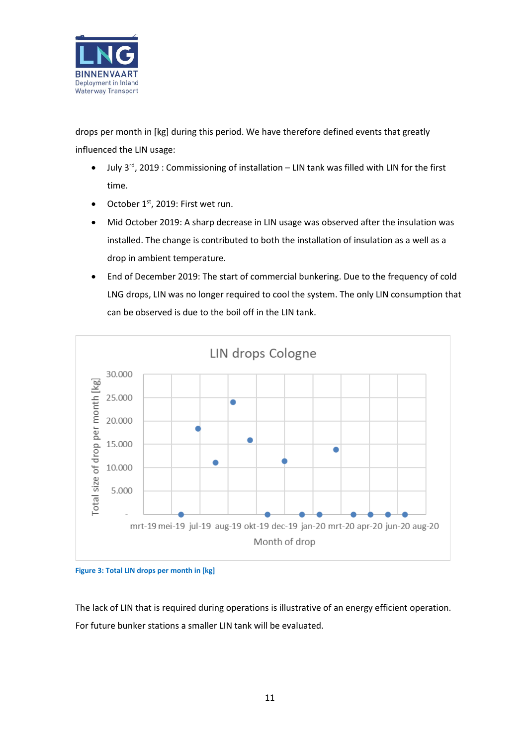

[drops per month in \[kg\]](#page-10-0) during this period. We have therefore defined events that greatly influenced the LIN usage:

- July 3<sup>rd</sup>, 2019 : Commissioning of installation LIN tank was filled with LIN for the first time.
- October 1<sup>st</sup>, 2019: First wet run.
- Mid October 2019: A sharp decrease in LIN usage was observed after the insulation was installed. The change is contributed to both the installation of insulation as a well as a drop in ambient temperature.
- End of December 2019: The start of commercial bunkering. Due to the frequency of cold LNG drops, LIN was no longer required to cool the system. The only LIN consumption that can be observed is due to the boil off in the LIN tank.



<span id="page-10-0"></span>**Figure 3: Total LIN drops per month in [kg]**

The lack of LIN that is required during operations is illustrative of an energy efficient operation. For future bunker stations a smaller LIN tank will be evaluated.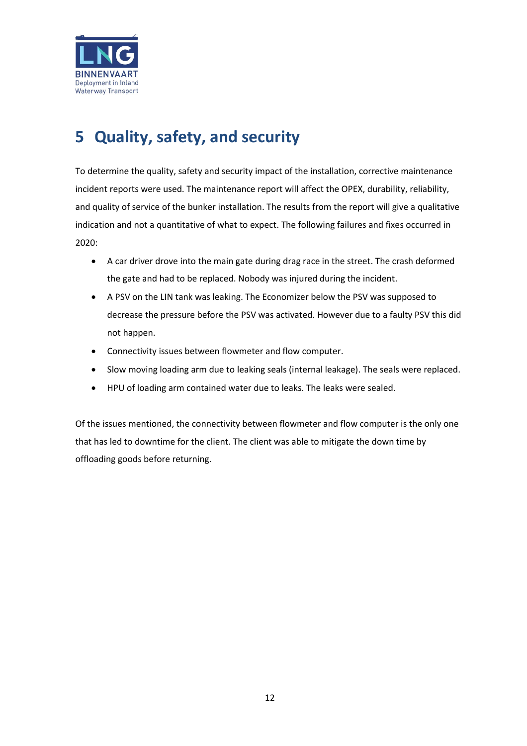

### <span id="page-11-0"></span>**5 Quality, safety, and security**

To determine the quality, safety and security impact of the installation, corrective maintenance incident reports were used. The maintenance report will affect the OPEX, durability, reliability, and quality of service of the bunker installation. The results from the report will give a qualitative indication and not a quantitative of what to expect. The following failures and fixes occurred in 2020:

- A car driver drove into the main gate during drag race in the street. The crash deformed the gate and had to be replaced. Nobody was injured during the incident.
- A PSV on the LIN tank was leaking. The Economizer below the PSV was supposed to decrease the pressure before the PSV was activated. However due to a faulty PSV this did not happen.
- Connectivity issues between flowmeter and flow computer.
- Slow moving loading arm due to leaking seals (internal leakage). The seals were replaced.
- HPU of loading arm contained water due to leaks. The leaks were sealed.

Of the issues mentioned, the connectivity between flowmeter and flow computer is the only one that has led to downtime for the client. The client was able to mitigate the down time by offloading goods before returning.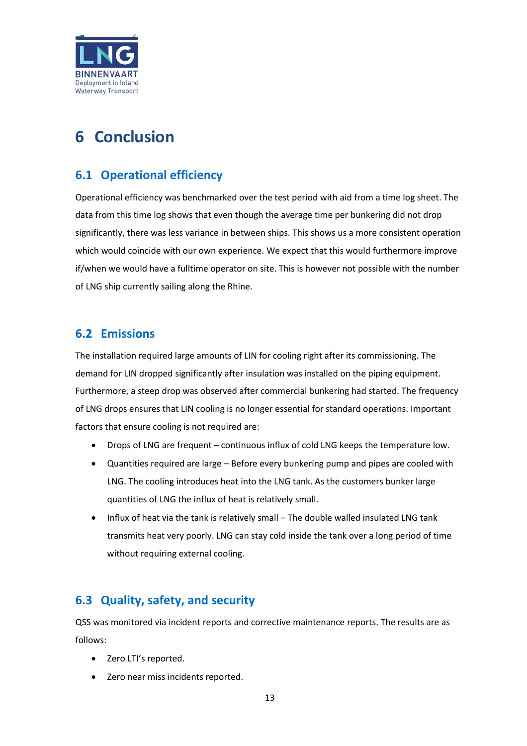

### <span id="page-12-0"></span>**6 Conclusion**

#### <span id="page-12-1"></span>**6.1 Operational efficiency**

Operational efficiency was benchmarked over the test period with aid from a time log sheet. The data from this time log shows that even though the average time per bunkering did not drop significantly, there was less variance in between ships. This shows us a more consistent operation which would coincide with our own experience. We expect that this would furthermore improve if/when we would have a fulltime operator on site. This is however not possible with the number of LNG ship currently sailing along the Rhine.

#### <span id="page-12-2"></span>**6.2 Emissions**

The installation required large amounts of LIN for cooling right after its commissioning. The demand for LIN dropped significantly after insulation was installed on the piping equipment. Furthermore, a steep drop was observed after commercial bunkering had started. The frequency of LNG drops ensures that LIN cooling is no longer essential for standard operations. Important factors that ensure cooling is not required are:

- Drops of LNG are frequent continuous influx of cold LNG keeps the temperature low.
- Quantities required are large Before every bunkering pump and pipes are cooled with LNG. The cooling introduces heat into the LNG tank. As the customers bunker large quantities of LNG the influx of heat is relatively small.
- Influx of heat via the tank is relatively small The double walled insulated LNG tank transmits heat very poorly. LNG can stay cold inside the tank over a long period of time without requiring external cooling.

#### <span id="page-12-3"></span>**6.3 Quality, safety, and security**

QSS was monitored via incident reports and corrective maintenance reports. The results are as follows:

- Zero LTI's reported.
- Zero near miss incidents reported.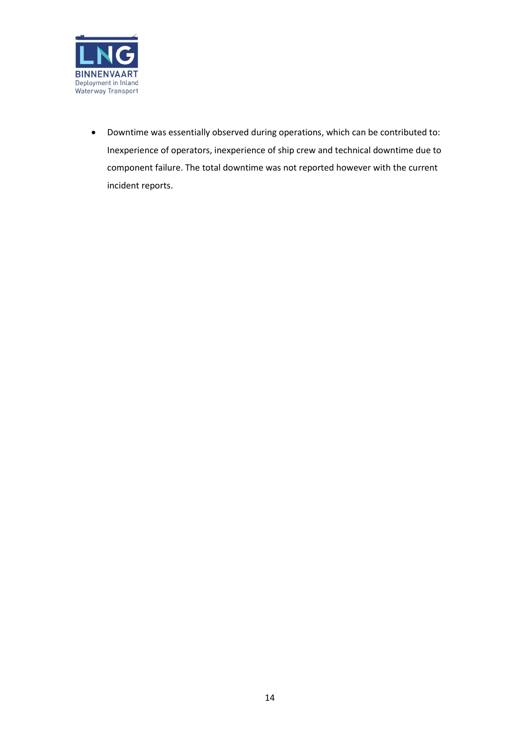

• Downtime was essentially observed during operations, which can be contributed to: Inexperience of operators, inexperience of ship crew and technical downtime due to component failure. The total downtime was not reported however with the current incident reports.